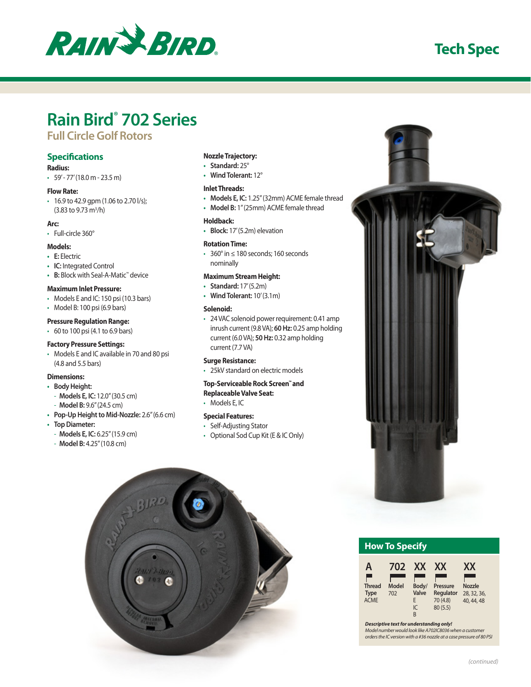

# **Tech Spec**

# **Rain Bird® 702 Series**

# **Full Circle Golf Rotors**

### **Specifications**

- **Radius:**
- $\cdot$  59' 77' (18.0 m 23.5 m)

#### **Flow Rate:**

• 16.9 to 42.9 gpm (1.06 to 2.70 l/s);  $(3.83 \text{ to } 9.73 \text{ m}^3/h)$ 

#### **Arc:**

• Full-circle 360°

#### **Models:**

- **• E:** Electric
- **• IC:** Integrated Control
- **• B:** Block with Seal-A-Matic™ device

#### **Maximum Inlet Pressure:**

- Models E and IC: 150 psi (10.3 bars)
- Model B: 100 psi (6.9 bars)

#### **Pressure Regulation Range:**

• 60 to 100 psi (4.1 to 6.9 bars)

#### **Factory Pressure Settings:**

• Models E and IC available in 70 and 80 psi (4.8 and 5.5 bars)

#### **Dimensions:**

- **• Body Height:**
	- **Models E, IC:** 12.0" (30.5 cm)
	- **Model B:** 9.6" (24.5 cm)
- **• Pop-Up Height to Mid-Nozzle:** 2.6" (6.6 cm)
- **• Top Diameter:**
	- **Models E, IC:** 6.25" (15.9 cm) - **Model B:** 4.25" (10.8 cm)

## **Nozzle Trajectory:**

- **• Standard:** 25°
- **• Wind Tolerant:** 12°

#### **Inlet Threads:**

- **• Models E, IC:** 1.25" (32mm) ACME female thread
- **• Model B:** 1" (25mm) ACME female thread

#### **Holdback:**

**• Block:** 17' (5.2m) elevation

#### **Rotation Time:**

• 360° in ≤ 180 seconds; 160 seconds nominally

#### **Maximum Stream Height:**

- **• Standard:** 17' (5.2m)
- **• Wind Tolerant:** 10' (3.1m)

#### **Solenoid:**

• 24 VAC solenoid power requirement: 0.41 amp inrush current (9.8 VA); **60 Hz:** 0.25 amp holding current (6.0 VA); **50 Hz:** 0.32 amp holding current (7.7 VA)

#### **Surge Resistance:**

• 25kV standard on electric models

#### **Top-Serviceable Rock Screen™ and Replaceable Valve Seat:**

• Models E, IC

#### **Special Features:**

- Self-Adjusting Stator
- Optional Sod Cup Kit (E & IC Only)





| <b>How To Specify</b> |  |
|-----------------------|--|
|                       |  |

| Α                                           | 702          | <b>XX</b>                      | XX                                            | XX                                         |
|---------------------------------------------|--------------|--------------------------------|-----------------------------------------------|--------------------------------------------|
| <b>Thread</b><br><b>Type</b><br><b>ACME</b> | Model<br>702 | Body/<br>Valve<br>F<br>IC<br>R | Pressure<br>Regulator<br>70 (4.8)<br>80 (5.5) | <b>Nozzle</b><br>28, 32, 36,<br>40, 44, 48 |

*Descriptive text for understanding only!*

*Model number would look like A702IC8036 when a customer orders the IC version with a #36 nozzle at a case pressure of 80 PSI*